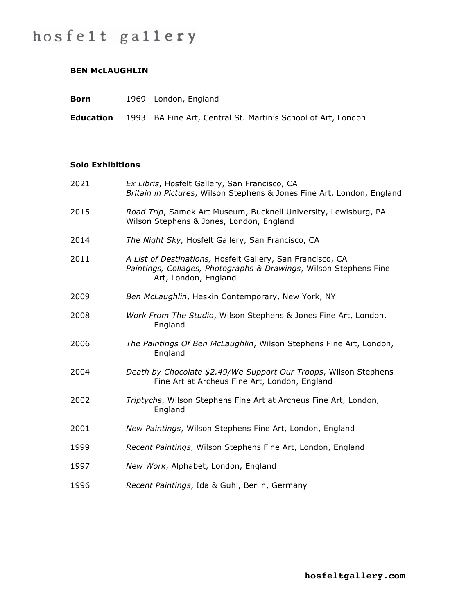# hosfelt gallery

### **BEN McLAUGHLIN**

| <b>Born</b>      | 1969 London, England                                         |
|------------------|--------------------------------------------------------------|
| <b>Education</b> | 1993 BA Fine Art, Central St. Martin's School of Art, London |

#### **Solo Exhibitions**

| 2021 | Ex Libris, Hosfelt Gallery, San Francisco, CA<br>Britain in Pictures, Wilson Stephens & Jones Fine Art, London, England                                 |
|------|---------------------------------------------------------------------------------------------------------------------------------------------------------|
| 2015 | Road Trip, Samek Art Museum, Bucknell University, Lewisburg, PA<br>Wilson Stephens & Jones, London, England                                             |
| 2014 | The Night Sky, Hosfelt Gallery, San Francisco, CA                                                                                                       |
| 2011 | A List of Destinations, Hosfelt Gallery, San Francisco, CA<br>Paintings, Collages, Photographs & Drawings, Wilson Stephens Fine<br>Art, London, England |
| 2009 | Ben McLaughlin, Heskin Contemporary, New York, NY                                                                                                       |
| 2008 | Work From The Studio, Wilson Stephens & Jones Fine Art, London,<br>England                                                                              |
| 2006 | The Paintings Of Ben McLaughlin, Wilson Stephens Fine Art, London,<br>England                                                                           |
| 2004 | Death by Chocolate \$2.49/We Support Our Troops, Wilson Stephens<br>Fine Art at Archeus Fine Art, London, England                                       |
| 2002 | Triptychs, Wilson Stephens Fine Art at Archeus Fine Art, London,<br>England                                                                             |
| 2001 | New Paintings, Wilson Stephens Fine Art, London, England                                                                                                |
| 1999 | Recent Paintings, Wilson Stephens Fine Art, London, England                                                                                             |
| 1997 | New Work, Alphabet, London, England                                                                                                                     |
| 1996 | Recent Paintings, Ida & Guhl, Berlin, Germany                                                                                                           |